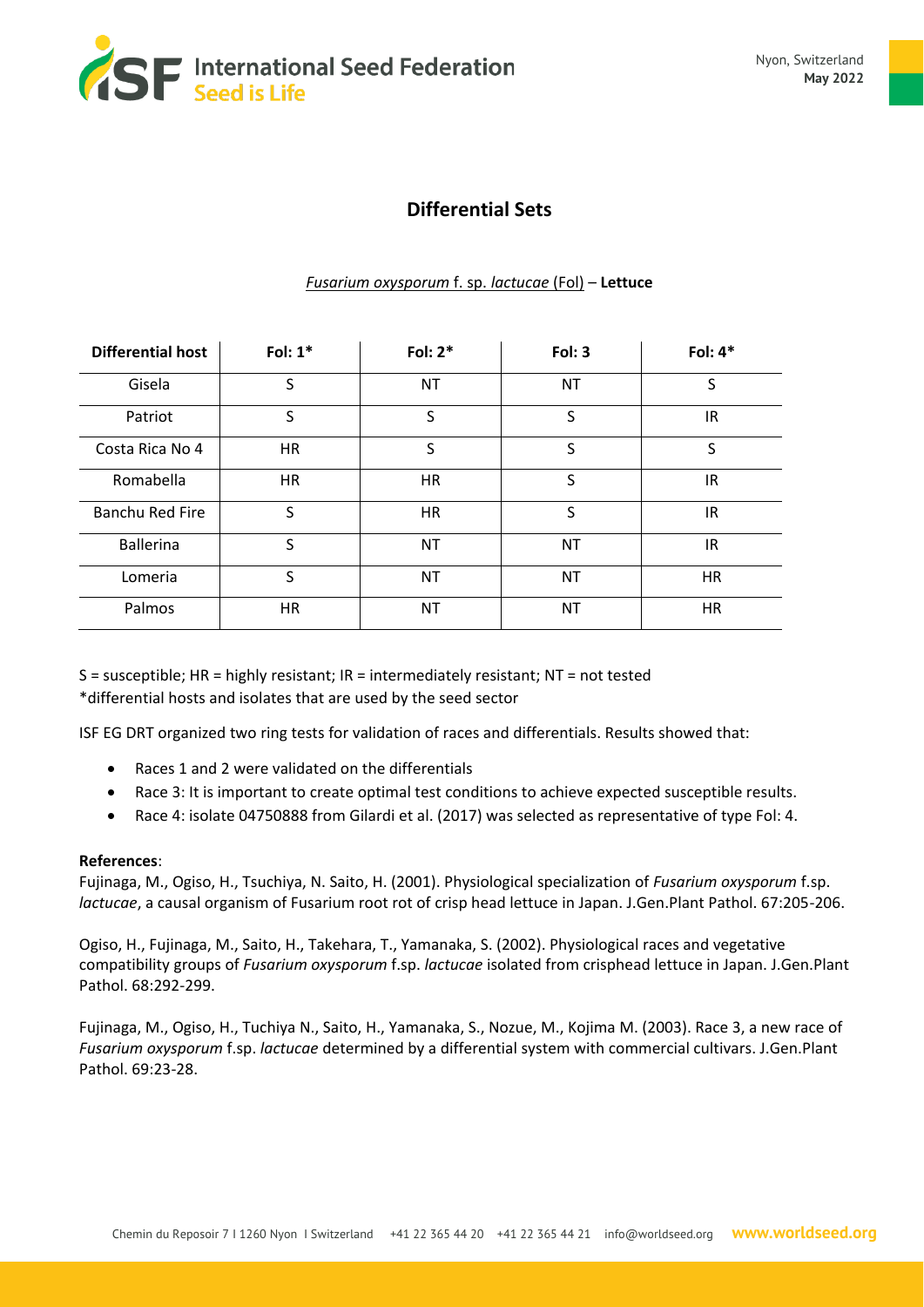

## **Differential Sets**

## *Fusarium oxysporum* f. sp. *lactucae* (Fol) – **Lettuce**

| <b>Differential host</b> | Fol: $1*$ | Fol: $2*$ | Fol: 3    | Fol: $4*$ |
|--------------------------|-----------|-----------|-----------|-----------|
| Gisela                   | S         | <b>NT</b> | <b>NT</b> | S         |
| Patriot                  | S         | S         | S         | IR        |
| Costa Rica No 4          | <b>HR</b> | S         | S         | S         |
| Romabella                | <b>HR</b> | <b>HR</b> | S         | IR        |
| <b>Banchu Red Fire</b>   | S         | <b>HR</b> | S         | IR        |
| <b>Ballerina</b>         | S         | <b>NT</b> | <b>NT</b> | IR        |
| Lomeria                  | S         | ΝT        | NT        | НR        |
| Palmos                   | <b>HR</b> | ΝT        | NT        | HR        |

S = susceptible; HR = highly resistant; IR = intermediately resistant; NT = not tested \*differential hosts and isolates that are used by the seed sector

ISF EG DRT organized two ring tests for validation of races and differentials. Results showed that:

- Races 1 and 2 were validated on the differentials
- Race 3: It is important to create optimal test conditions to achieve expected susceptible results.
- Race 4: isolate 04750888 from Gilardi et al. (2017) was selected as representative of type Fol: 4.

## **References**:

Fujinaga, M., Ogiso, H., Tsuchiya, N. Saito, H. (2001). Physiological specialization of *Fusarium oxysporum* f.sp. *lactucae*, a causal organism of Fusarium root rot of crisp head lettuce in Japan. J.Gen.Plant Pathol. 67:205-206.

Ogiso, H., Fujinaga, M., Saito, H., Takehara, T., Yamanaka, S. (2002). Physiological races and vegetative compatibility groups of *Fusarium oxysporum* f.sp. *lactucae* isolated from crisphead lettuce in Japan. J.Gen.Plant Pathol. 68:292-299.

Fujinaga, M., Ogiso, H., Tuchiya N., Saito, H., Yamanaka, S., Nozue, M., Kojima M. (2003). Race 3, a new race of *Fusarium oxysporum* f.sp. *lactucae* determined by a differential system with commercial cultivars. J.Gen.Plant Pathol. 69:23-28.